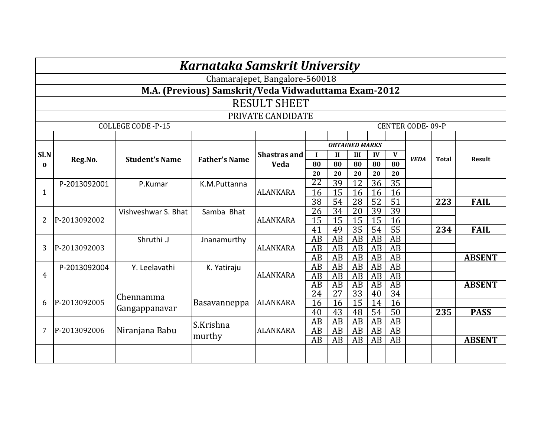|                | Karnataka Samskrit University                        |                       |                      |                     |                       |                                    |                                    |                       |                       |             |                  |               |  |
|----------------|------------------------------------------------------|-----------------------|----------------------|---------------------|-----------------------|------------------------------------|------------------------------------|-----------------------|-----------------------|-------------|------------------|---------------|--|
|                | Chamarajepet, Bangalore-560018                       |                       |                      |                     |                       |                                    |                                    |                       |                       |             |                  |               |  |
|                | M.A. (Previous) Samskrit/Veda Vidwaduttama Exam-2012 |                       |                      |                     |                       |                                    |                                    |                       |                       |             |                  |               |  |
|                | <b>RESULT SHEET</b>                                  |                       |                      |                     |                       |                                    |                                    |                       |                       |             |                  |               |  |
|                | PRIVATE CANDIDATE                                    |                       |                      |                     |                       |                                    |                                    |                       |                       |             |                  |               |  |
|                | <b>COLLEGE CODE -P-15</b><br><b>CENTER CODE-09-P</b> |                       |                      |                     |                       |                                    |                                    |                       |                       |             |                  |               |  |
|                |                                                      |                       |                      |                     |                       |                                    |                                    |                       |                       |             |                  |               |  |
|                |                                                      |                       |                      |                     |                       |                                    | <b>OBTAINED MARKS</b>              |                       |                       |             |                  |               |  |
| Sl.N           | Reg.No.                                              | <b>Student's Name</b> | <b>Father's Name</b> | <b>Shastras and</b> | $\blacksquare$        | $\mathbf{I}$                       | III                                | IV                    | V                     | <b>VEDA</b> | <b>Total</b>     | <b>Result</b> |  |
| $\Omega$       |                                                      |                       |                      | <b>Veda</b>         | 80                    | 80                                 | 80                                 | 80                    | 80                    |             |                  |               |  |
|                |                                                      |                       |                      |                     | 20<br>22              | 20<br>39                           | 20<br>12                           | 20<br>36              | 20<br>$\overline{35}$ |             |                  |               |  |
| 1              | P-2013092001                                         | P.Kumar               | K.M.Puttanna         | <b>ALANKARA</b>     | 16                    | 15                                 | 16                                 | 16                    | 16                    |             |                  |               |  |
|                |                                                      |                       |                      |                     | $\overline{38}$       | $\overline{54}$                    | $\overline{28}$                    | $\overline{52}$       | $\overline{51}$       |             | $\overline{223}$ | <b>FAIL</b>   |  |
|                |                                                      | Vishveshwar S. Bhat   | Samba Bhat           |                     | $\overline{26}$       | 34                                 | 20                                 | $\overline{39}$       | 39                    |             |                  |               |  |
| $\overline{2}$ | P-2013092002                                         |                       |                      | <b>ALANKARA</b>     | $\overline{15}$       | 15                                 | $\overline{15}$                    | 15                    | $\overline{16}$       |             |                  |               |  |
|                |                                                      |                       |                      |                     | 41                    | 49                                 | 35                                 | 54                    | 55                    |             | 234              | <b>FAIL</b>   |  |
|                |                                                      | Shruthi .J            | Jnanamurthy          |                     | AB                    | AB                                 | AB                                 | AB                    | $\overline{AB}$       |             |                  |               |  |
| 3              | P-2013092003                                         |                       |                      | <b>ALANKARA</b>     | AB                    | AB                                 | AB                                 | AB                    | $\overline{AB}$       |             |                  |               |  |
|                |                                                      |                       |                      |                     | $\overline{AB}$       | AB                                 | AB                                 | AB                    | $\overline{AB}$       |             |                  | <b>ABSENT</b> |  |
|                | P-2013092004                                         | Y. Leelavathi         | K. Yatiraju          |                     | AB                    | AB                                 | AB                                 | AB                    | $\overline{AB}$       |             |                  |               |  |
| $\overline{4}$ |                                                      |                       |                      | <b>ALANKARA</b>     | AB<br>$\overline{AB}$ | AB                                 | AB                                 | AB                    | <b>AB</b><br>AB       |             |                  |               |  |
|                |                                                      |                       |                      |                     | 24                    | $\overline{AB}$<br>$\overline{27}$ | $\overline{AB}$<br>$\overline{33}$ | $\overline{AB}$<br>40 | $\overline{34}$       |             |                  | <b>ABSENT</b> |  |
| 6              | P-2013092005                                         | Chennamma             | Basavanneppa         | <b>ALANKARA</b>     | 16                    | 16                                 | 15                                 | 14                    | 16                    |             |                  |               |  |
|                |                                                      | Gangappanavar         |                      |                     | 40                    | 43                                 | 48                                 | 54                    | 50                    |             | 235              | <b>PASS</b>   |  |
|                |                                                      |                       | S.Krishna            |                     | <b>AB</b>             | <b>AB</b>                          | <b>AB</b>                          | AB                    | $\overline{AB}$       |             |                  |               |  |
| 7              | P-2013092006                                         | Niranjana Babu        |                      | <b>ALANKARA</b>     | $\overline{AB}$       | AB                                 | AB                                 | AB                    | $\overline{AB}$       |             |                  |               |  |
|                |                                                      |                       | murthy               |                     | AB                    | AB                                 | AB                                 | AB                    | AB                    |             |                  | <b>ABSENT</b> |  |
|                |                                                      |                       |                      |                     |                       |                                    |                                    |                       |                       |             |                  |               |  |
|                |                                                      |                       |                      |                     |                       |                                    |                                    |                       |                       |             |                  |               |  |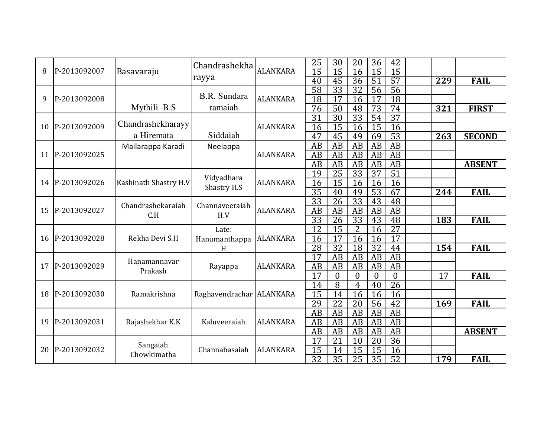| 8  | P-2013092007 | Basavaraju            | Chandrashekha<br>rayya              | <b>ALANKARA</b> | 25<br>15        | 30<br>15             | 20<br>16        | 36<br>15        | 42<br>15        |                 |               |
|----|--------------|-----------------------|-------------------------------------|-----------------|-----------------|----------------------|-----------------|-----------------|-----------------|-----------------|---------------|
|    |              |                       |                                     |                 | 40              | 45                   | 36              | 51              | $\overline{57}$ | 229             | <b>FAIL</b>   |
|    |              |                       | B.R. Sundara                        |                 | $\overline{58}$ | 33                   | $\overline{32}$ | 56              | $\overline{56}$ |                 |               |
| 9  | P-2013092008 |                       |                                     | <b>ALANKARA</b> | 18              | 17                   | 16              | 17              | $\overline{18}$ |                 |               |
|    |              | Mythili B.S           | ramaiah                             |                 | 76              | 50                   | 48              | 73              | 74              | 321             | <b>FIRST</b>  |
|    |              | Chandrashekharayy     |                                     |                 | $\overline{31}$ | $\overline{30}$      | $\overline{33}$ | $\overline{54}$ | $\overline{37}$ |                 |               |
| 10 | P-2013092009 |                       |                                     | <b>ALANKARA</b> | 16              | $\overline{15}$      | 16              | 15              | $\overline{16}$ |                 |               |
|    |              | a Hiremata            | Siddaiah                            |                 | 47              | 45                   | 49              | 69              | $\overline{53}$ | 263             | <b>SECOND</b> |
|    |              | Mailarappa Karadi     | Neelappa                            |                 | AB              | AB                   | AB              | AB              | AB              |                 |               |
| 11 | P-2013092025 |                       |                                     | <b>ALANKARA</b> | AB              | <b>AB</b>            | AB              | AB              | AB              |                 |               |
|    |              |                       |                                     |                 | AB              | <b>AB</b>            | AB              | AB              | $\overline{AB}$ |                 | <b>ABSENT</b> |
|    |              |                       | Vidyadhara                          |                 | 19              | $\overline{25}$      | $\overline{33}$ | $\overline{37}$ | $\overline{51}$ |                 |               |
| 14 | P-2013092026 | Kashinath Shastry H.V | Shastry H.S                         | <b>ALANKARA</b> |                 | 16<br>15<br>16<br>16 |                 | 16              |                 |                 |               |
|    |              |                       |                                     |                 | $\overline{35}$ | 40                   | 49              | $\overline{53}$ | 67              | 244             | <b>FAIL</b>   |
|    | P-2013092027 |                       | Chandrashekaraiah<br>Channaveeraiah |                 | $\overline{33}$ | 26                   | $\overline{33}$ | 43              | 48              |                 |               |
| 15 |              | C.H                   | H.V                                 | <b>ALANKARA</b> | $\overline{AB}$ | $\overline{AB}$      | AB              | AB              | $\overline{AB}$ |                 |               |
|    |              |                       |                                     |                 | $\overline{33}$ | 26                   | $\overline{33}$ | 43              | 48              | 183             | <b>FAIL</b>   |
|    |              | Rekha Devi S.H        | Late:<br>Hanumanthappa<br>H         | <b>ALANKARA</b> | $\overline{12}$ | $\overline{15}$      | $\overline{2}$  | 16              | $\overline{27}$ |                 |               |
| 16 | P-2013092028 |                       |                                     |                 | 16              | 17                   | 16              | 16              | $\overline{17}$ |                 |               |
|    |              |                       |                                     |                 | 28              | $\overline{32}$      | 18              | 32              | $\overline{44}$ | 154             | <b>FAIL</b>   |
|    |              | Hanamannavar          |                                     |                 | 17              | AB                   | AB              | AB              | $\overline{AB}$ |                 |               |
| 17 | P-2013092029 | Prakash               | Rayappa                             | <b>ALANKARA</b> | $\overline{AB}$ | AB                   | AB              | AB              | AB              |                 |               |
|    |              |                       |                                     |                 | $\overline{17}$ | $\boldsymbol{0}$     | $\overline{0}$  | $\mathbf{0}$    | $\overline{0}$  | $\overline{17}$ | <b>FAIL</b>   |
|    |              |                       |                                     |                 | 14              | 8                    | $\overline{4}$  | 40              | $\overline{26}$ |                 |               |
| 18 | P-2013092030 | Ramakrishna           | Raghavendrachar ALANKARA            |                 | 15              | 14                   | 16              | 16              | 16              |                 |               |
|    |              |                       |                                     |                 | 29              | 22                   | 20              | 56              | $\overline{42}$ | 169             | <b>FAIL</b>   |
|    |              |                       |                                     |                 | $\overline{AB}$ | $\overline{AB}$      | $\overline{AB}$ | AB              | $\overline{AB}$ |                 |               |
| 19 | P-2013092031 | Rajashekhar K.K       | Kaluveeraiah                        | <b>ALANKARA</b> | AB              | AB                   | AB              | AB              | AB              |                 |               |
|    |              |                       |                                     |                 | AB              | AB                   | AB              | AB              | AB              |                 | <b>ABSENT</b> |
|    |              | Sangaiah              |                                     |                 | 17              | 21                   | 10              | 20              | 36              |                 |               |
| 20 | P-2013092032 | Chowkimatha           | Channabasaiah                       | <b>ALANKARA</b> | $\overline{15}$ | 14                   | 15              | 15              | 16              |                 |               |
|    |              |                       |                                     |                 | $\overline{32}$ | $\overline{35}$      | $\overline{25}$ | $\overline{35}$ | $\overline{52}$ | 179             | <b>FAIL</b>   |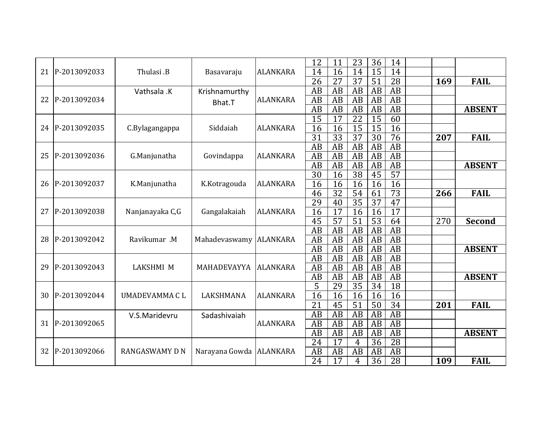| 21 | P-2013092033 | Thulasi <sub>.B</sub> | Basavaraju              | <b>ALANKARA</b> | 12<br>14        | 11<br>16        | 23<br>14        | 36<br>$\overline{15}$ | 14<br>14        |     |               |
|----|--------------|-----------------------|-------------------------|-----------------|-----------------|-----------------|-----------------|-----------------------|-----------------|-----|---------------|
|    |              |                       |                         |                 | 26              | 27              | 37              | 51                    | 28              | 169 | <b>FAIL</b>   |
|    |              | Vathsala .K           | Krishnamurthy           |                 | AB              | AB              | AB              | AB                    | AB              |     |               |
| 22 | P-2013092034 |                       | Bhat.T                  | <b>ALANKARA</b> | AB              | AB              | AB              | AB                    | $\overline{AB}$ |     |               |
|    |              |                       |                         |                 | $\overline{AB}$ | AB              | AB              | AB                    | $\overline{AB}$ |     | <b>ABSENT</b> |
|    |              |                       |                         |                 | 15              | 17              | 22              | 15                    | 60              |     |               |
| 24 | P-2013092035 | C.Bylagangappa        | Siddaiah                | <b>ALANKARA</b> | 16              | 16              | $\overline{15}$ | $\overline{15}$       | 16              |     |               |
|    |              |                       |                         |                 | $\overline{31}$ | $\overline{33}$ | $\overline{37}$ | 30                    | 76              | 207 | <b>FAIL</b>   |
|    |              |                       |                         |                 | AB              | AB              | AB              | AB                    | AB              |     |               |
| 25 | P-2013092036 | G.Manjunatha          | Govindappa              | <b>ALANKARA</b> | AB              | AB              | AB              | AB                    | AB              |     |               |
|    |              |                       |                         |                 | AB              | AB              | AB              | AB                    | AB              |     | <b>ABSENT</b> |
|    |              |                       |                         |                 | 30              | 16              | $\overline{38}$ | 45                    | $\overline{57}$ |     |               |
| 26 | P-2013092037 | K.Manjunatha          | K.Kotragouda            | <b>ALANKARA</b> | 16              | 16              | 16              | 16                    | 16              |     |               |
|    |              |                       |                         |                 | 46              | $\overline{32}$ | $\overline{54}$ | 61                    | $\overline{73}$ | 266 | <b>FAIL</b>   |
|    | P-2013092038 |                       |                         |                 | 29              | 40              | $\overline{35}$ | 37                    | $\overline{47}$ |     |               |
| 27 |              | Nanjanayaka C,G       | Gangalakaiah            | <b>ALANKARA</b> | 16              | 17              | 16              | 16                    | 17              |     |               |
|    |              |                       |                         |                 | $\overline{45}$ | $\overline{57}$ | $\overline{51}$ | $\overline{53}$       | $\overline{64}$ | 270 | Second        |
|    |              |                       |                         |                 | $\overline{AB}$ | AB              | $\overline{AB}$ | AB                    | $\overline{AB}$ |     |               |
| 28 | P-2013092042 | Ravikumar .M          | Mahadevaswamy           | <b>ALANKARA</b> | AB              | AB              | AB              | AB                    | AB              |     |               |
|    |              |                       |                         |                 | AB              | AB              | AB              | AB                    | $\overline{AB}$ |     | <b>ABSENT</b> |
|    |              |                       |                         |                 | AB              | AB              | AB              | AB                    | $\overline{AB}$ |     |               |
| 29 | P-2013092043 | <b>LAKSHMI M</b>      | MAHADEVAYYA             | <b>ALANKARA</b> | AB              | AB              | AB              | AB                    | $\overline{AB}$ |     |               |
|    |              |                       |                         |                 | AB              | AB              | AB              | AB                    | $\overline{AB}$ |     | <b>ABSENT</b> |
|    |              |                       |                         |                 | 5               | 29              | 35              | 34                    | $\overline{18}$ |     |               |
| 30 | P-2013092044 | <b>UMADEVAMMA CL</b>  | LAKSHMANA               | <b>ALANKARA</b> | 16              | 16              | 16              | 16                    | 16              |     |               |
|    |              |                       |                         |                 | 21              | 45              | 51              | 50                    | 34              | 201 | <b>FAIL</b>   |
|    |              | V.S.Maridevru         | Sadashivaiah            |                 | AB              | AB              | AB              | AB                    | $\overline{AB}$ |     |               |
| 31 | P-2013092065 |                       |                         | <b>ALANKARA</b> | AB              | AB              | AB              | AB                    | $\overline{AB}$ |     |               |
|    |              |                       |                         |                 | AB              | AB              | AB              | AB                    | AB              |     | <b>ABSENT</b> |
|    |              |                       |                         |                 | $\overline{24}$ | 17              | 4               | 36                    | 28              |     |               |
| 32 | P-2013092066 | <b>RANGASWAMY D N</b> | Narayana Gowda ALANKARA |                 | AB              | AB              | AB              | AB                    | AB              |     |               |
|    |              |                       |                         |                 | 24              | 17              | 4               | 36                    | 28              | 109 | <b>FAIL</b>   |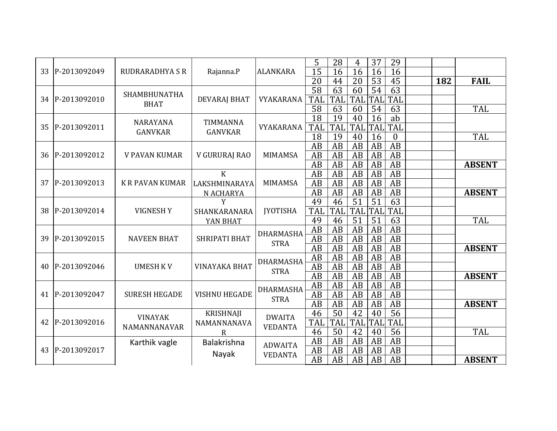| 33 | P-2013092049 | <b>RUDRARADHYA S R</b> | Rajanna.P            | <b>ALANKARA</b>                 | 5<br>37<br>28<br>29<br>4<br>$\overline{15}$<br>16<br>16<br>16<br>16                   |                                                                   |               |
|----|--------------|------------------------|----------------------|---------------------------------|---------------------------------------------------------------------------------------|-------------------------------------------------------------------|---------------|
|    |              |                        |                      |                                 | $\overline{20}$<br>45<br>$\overline{20}$<br>$\overline{53}$<br>182<br>44              | <b>FAIL</b>                                                       |               |
|    |              | SHAMBHUNATHA           |                      |                                 | 63<br>$\overline{58}$<br>63<br>54<br>60                                               |                                                                   |               |
| 34 | P-2013092010 | <b>BHAT</b>            | <b>DEVARAJ BHAT</b>  | VYAKARANA                       | <b>TAL</b><br><b>TAL</b><br><b>TAL</b><br><b>TAL</b><br><b>TAL</b>                    |                                                                   |               |
|    |              |                        |                      |                                 | $\overline{58}$<br>63<br>54<br>63<br>60                                               | <b>TAL</b>                                                        |               |
|    | P-2013092011 | <b>NARAYANA</b>        | <b>TIMMANNA</b>      |                                 | $\overline{18}$<br>19<br>16<br>ab<br>40                                               |                                                                   |               |
| 35 |              | <b>GANVKAR</b>         | <b>GANVKAR</b>       | VYAKARANA                       | TAL<br>TAL<br>TAL<br>TAL<br><b>TAL</b>                                                |                                                                   |               |
|    |              |                        |                      |                                 | 18<br>19<br>$\mathbf{0}$<br>40<br>16                                                  | <b>TAL</b>                                                        |               |
|    |              |                        |                      |                                 | $\overline{AB}$<br>AB<br>AB<br>AB<br>AB                                               |                                                                   |               |
| 36 | P-2013092012 | <b>V PAVAN KUMAR</b>   | V GURURAJ RAO        | <b>MIMAMSA</b>                  | AB<br>AB<br>AB<br>AB<br>AB                                                            |                                                                   |               |
|    |              |                        |                      |                                 | $\overline{AB}$<br>AB<br>AB<br>AB<br>AB                                               | <b>ABSENT</b>                                                     |               |
|    |              |                        | $\mathbf K$          |                                 | $\overline{AB}$<br>AB<br>AB<br>AB<br>AB                                               |                                                                   |               |
| 37 | P-2013092013 | <b>K R PAVAN KUMAR</b> | LAKSHMINARAYA        | <b>MIMAMSA</b>                  | AB<br>AB<br>AB<br>AB<br>AB                                                            |                                                                   |               |
|    |              |                        | N ACHARYA            |                                 | <b>AB</b><br><b>AB</b><br>$\overline{AB}$<br>AB<br>AB                                 | <b>ABSENT</b>                                                     |               |
|    | P-2013092014 |                        | Y                    |                                 | $\overline{63}$<br>51<br>49<br>51<br>46                                               |                                                                   |               |
| 38 |              | <b>VIGNESHY</b>        | SHANKARANARA         | <b>JYOTISHA</b>                 | <b>TAL</b><br>TAL<br><b>TAL</b><br><b>TAL</b><br><b>TAI</b>                           |                                                                   |               |
|    |              |                        | YAN BHAT             |                                 | $\overline{63}$<br>49<br>51<br>46<br>51                                               | <b>TAL</b>                                                        |               |
|    |              | <b>NAVEEN BHAT</b>     | <b>SHRIPATI BHAT</b> | <b>DHARMASHA</b><br><b>STRA</b> | $\overline{AB}$<br>$\overline{AB}$<br>$\overline{AB}$<br>$\overline{AB}$<br>AB        |                                                                   |               |
| 39 | P-2013092015 |                        |                      |                                 | $\overline{AB}$<br><b>AB</b><br>$\overline{AB}$<br>$\overline{AB}$<br>AB              |                                                                   |               |
|    |              |                        |                      |                                 | $\overline{AB}$<br>AB<br>AB<br>AB<br>AB                                               | <b>ABSENT</b>                                                     |               |
|    |              |                        |                      | <b>DHARMASHA</b>                | AB<br>AB<br>AB<br>AB<br>AB                                                            |                                                                   |               |
| 40 | P-2013092046 | <b>UMESH KV</b>        | <b>VINAYAKA BHAT</b> | <b>STRA</b>                     | AB<br>AB<br>AB<br>AB<br>AB                                                            |                                                                   |               |
|    |              |                        |                      |                                 | <b>AB</b><br>$\overline{AB}$<br>$\overline{AB}$<br>$\overline{AB}$<br>$\overline{AB}$ | <b>ABSENT</b>                                                     |               |
|    |              |                        |                      | <b>DHARMASHA</b>                | $\overline{AB}$<br>AB<br>AB<br>AB<br>AB                                               |                                                                   |               |
| 41 | P-2013092047 | <b>SURESH HEGADE</b>   | <b>VISHNU HEGADE</b> | <b>STRA</b>                     | <b>AB</b><br>AB<br>AB<br>AB<br>AB                                                     |                                                                   |               |
|    |              |                        |                      |                                 | AB<br>AB<br>AB<br>AB<br>AB                                                            | <b>ABSENT</b>                                                     |               |
|    |              | <b>VINAYAK</b>         | KRISHNAJI            | <b>DWAITA</b>                   | $\overline{50}$<br>56<br>46<br>$\overline{42}$<br>40                                  |                                                                   |               |
| 42 | P-2013092016 | NAMANNANAVAR           | NAMANNANAVA          | <b>VEDANTA</b>                  | TAL<br><b>TAL</b><br>TAL<br><b>TAL</b><br>TAL                                         |                                                                   |               |
|    |              |                        | R                    |                                 | $\overline{56}$<br>46<br>$\overline{50}$<br>$\overline{42}$<br>40                     | TAL                                                               |               |
|    |              | Karthik vagle          | Balakrishna          | <b>ADWAITA</b>                  | AB<br>AB<br>AB<br>AB<br>AB                                                            |                                                                   |               |
| 43 | P-2013092017 |                        | Nayak                | <b>VEDANTA</b>                  | AB<br>AB<br>AB<br>AB<br>AB                                                            |                                                                   |               |
|    |              |                        |                      |                                 |                                                                                       | $\overline{AB}$<br>$\overline{AB}$<br>$\overline{AB}$<br>AB<br>AB | <b>ABSENT</b> |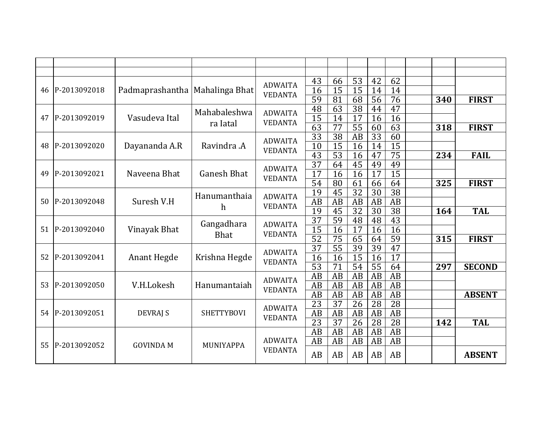|    |                              |                                  |                    | <b>ADWAITA</b>                   | 43                    | 66              | $\overline{53}$       | 42                    | 62              |     |               |
|----|------------------------------|----------------------------------|--------------------|----------------------------------|-----------------------|-----------------|-----------------------|-----------------------|-----------------|-----|---------------|
| 46 | P-2013092018                 | Padmaprashantha   Mahalinga Bhat |                    | <b>VEDANTA</b>                   | $\overline{16}$       | 15              | 15                    | 14                    | 14              |     |               |
|    |                              |                                  |                    |                                  | $\overline{59}$       | 81              | $\overline{68}$       | $\overline{56}$       | 76              | 340 | <b>FIRST</b>  |
|    |                              |                                  | Mahabaleshwa       | <b>ADWAITA</b>                   | 48                    | $\overline{63}$ | $\overline{38}$       | 44                    | $\overline{47}$ |     |               |
| 47 | P-2013092019                 | Vasudeva Ital                    | ra Iatal           | <b>VEDANTA</b>                   | $\overline{15}$       | 14              | 17                    | 16                    | $\overline{16}$ |     |               |
|    |                              |                                  |                    |                                  | 63                    | $\overline{77}$ | $\overline{55}$       | 60                    | 63              | 318 | <b>FIRST</b>  |
|    |                              |                                  |                    | <b>ADWAITA</b>                   | $\overline{33}$       | $\overline{38}$ | $\overline{AB}$       | $\overline{33}$       | $\overline{60}$ |     |               |
| 48 | P-2013092020                 | Dayananda A.R                    | Ravindra .A        | <b>VEDANTA</b>                   | $\overline{10}$       | $\overline{15}$ | 16                    | 14                    | 15              |     |               |
|    |                              |                                  |                    |                                  | $\overline{43}$       | $\overline{53}$ | 16                    | 47                    | $\overline{75}$ | 234 | <b>FAIL</b>   |
| 49 | P-2013092021<br>Naveena Bhat |                                  |                    | <b>ADWAITA</b>                   | 37                    | 64              | 45                    | 49                    | 49              |     |               |
|    |                              |                                  | <b>Ganesh Bhat</b> | <b>VEDANTA</b>                   | $\overline{17}$       | 16              | 16                    | 17                    | $\overline{15}$ |     |               |
|    |                              |                                  |                    |                                  | 54<br>$\overline{19}$ | $\overline{80}$ | 61<br>$\overline{32}$ | 66<br>$\overline{30}$ | 64<br>38        | 325 | <b>FIRST</b>  |
| 50 | P-2013092048                 | Suresh V.H                       | Hanumanthaia       | <b>ADWAITA</b>                   | AB                    | 45<br>AB        | AB                    | AB                    | AB              |     |               |
|    |                              |                                  | h                  | <b>VEDANTA</b>                   | 19                    | 45              | $\overline{32}$       | $\overline{30}$       | $\overline{38}$ | 164 | <b>TAL</b>    |
|    | P-2013092040                 | Vinayak Bhat                     |                    | <b>ADWAITA</b><br><b>VEDANTA</b> | $\overline{37}$       | $\overline{59}$ | 48                    | 48                    | 43              |     |               |
| 51 |                              |                                  | Gangadhara         |                                  | 15                    | 16              | 17                    | 16                    | 16              |     |               |
|    |                              |                                  | <b>Bhat</b>        |                                  | $\overline{52}$       | $\overline{75}$ | 65                    | 64                    | $\overline{59}$ | 315 | <b>FIRST</b>  |
|    |                              |                                  |                    |                                  | $\overline{37}$       | $\overline{55}$ | 39                    | 39                    | $\overline{47}$ |     |               |
| 52 | P-2013092041                 | Anant Hegde                      | Krishna Hegde      | <b>ADWAITA</b>                   | 16                    | 16              | 15                    | 16                    | $\overline{17}$ |     |               |
|    |                              |                                  |                    | <b>VEDANTA</b>                   | $\overline{53}$       | $\overline{71}$ | $\overline{54}$       | $\overline{55}$       | $\overline{64}$ | 297 | <b>SECOND</b> |
|    |                              |                                  |                    |                                  | AB                    | AB              | AB                    | AB                    | $\overline{AB}$ |     |               |
| 53 | P-2013092050                 | V.H.Lokesh                       | Hanumantaiah       | <b>ADWAITA</b>                   | $\overline{AB}$       | $\overline{AB}$ | AB                    | AB                    | $\overline{AB}$ |     |               |
|    |                              |                                  |                    | <b>VEDANTA</b>                   | AB                    | AB              | AB                    | AB                    | AB              |     | <b>ABSENT</b> |
|    |                              |                                  |                    | <b>ADWAITA</b>                   | 23                    | 37              | 26                    | 28                    | 28              |     |               |
| 54 | P-2013092051                 | <b>DEVRAJ S</b>                  | <b>SHETTYBOVI</b>  | <b>VEDANTA</b>                   | $\overline{AB}$       | AB              | AB                    | AB                    | AB              |     |               |
|    |                              |                                  |                    |                                  | 23                    | $\overline{37}$ | $\overline{26}$       | 28                    | 28              | 142 | <b>TAL</b>    |
|    |                              |                                  |                    |                                  | <b>AB</b>             | AB              | AB                    | AB                    | $\overline{AB}$ |     |               |
| 55 | P-2013092052                 | <b>GOVINDA M</b>                 | MUNIYAPPA          | <b>ADWAITA</b>                   | AB                    | AB              | AB                    | AB                    | AB              |     |               |
|    |                              |                                  |                    | <b>VEDANTA</b>                   | AB                    | AB              | AB                    | AB                    | AB              |     | <b>ABSENT</b> |
|    |                              |                                  |                    |                                  |                       |                 |                       |                       |                 |     |               |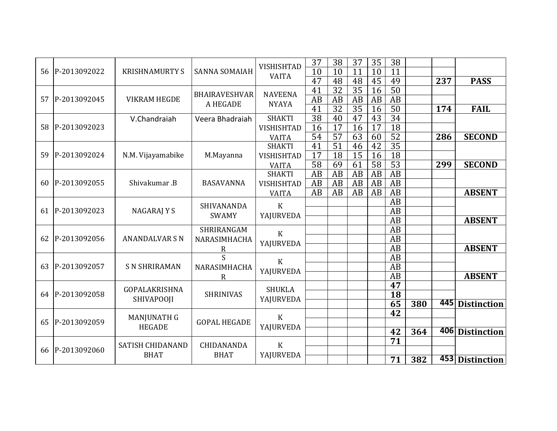| 56 | P-2013092022 | <b>KRISHNAMURTY S</b>   | <b>SANNA SOMAIAH</b> | <b>VISHISHTAD</b><br><b>VAITA</b> | 37<br>10        | 38<br>10        | 37<br>11        | 35<br>10        | 38<br>11        |     |     |                 |
|----|--------------|-------------------------|----------------------|-----------------------------------|-----------------|-----------------|-----------------|-----------------|-----------------|-----|-----|-----------------|
|    |              |                         |                      |                                   | 47              | 48              | 48              | 45              | 49              |     | 237 | <b>PASS</b>     |
|    |              |                         | <b>BHAIRAVESHVAR</b> | <b>NAVEENA</b>                    | 41              | $\overline{32}$ | 35              | 16              | 50              |     |     |                 |
| 57 | P-2013092045 | <b>VIKRAM HEGDE</b>     | A HEGADE             | <b>NYAYA</b>                      | $\overline{AB}$ | AB              | AB              | AB              | $\overline{AB}$ |     |     |                 |
|    |              |                         |                      |                                   | 41              | $\overline{32}$ | $\overline{35}$ | 16              | 50              |     | 174 | <b>FAIL</b>     |
|    |              | V.Chandraiah            | Veera Bhadraiah      | <b>SHAKTI</b>                     | $\overline{38}$ | 40              | 47              | 43              | $\overline{34}$ |     |     |                 |
| 58 | P-2013092023 |                         |                      | <b>VISHISHTAD</b>                 | 16              | $\overline{17}$ | $\overline{16}$ | $\overline{17}$ | 18              |     |     |                 |
|    |              |                         |                      | <b>VAITA</b>                      | $\overline{54}$ | $\overline{57}$ | 63              | 60              | $\overline{52}$ |     | 286 | <b>SECOND</b>   |
|    |              |                         |                      | <b>SHAKTI</b>                     | 41              | $\overline{51}$ | 46              | 42              | $\overline{35}$ |     |     |                 |
| 59 | P-2013092024 | N.M. Vijayamabike       | M.Mayanna            | <b>VISHISHTAD</b>                 | $\overline{17}$ | 18              | $\overline{15}$ | 16              | $\overline{18}$ |     |     |                 |
|    |              |                         |                      | <b>VAITA</b>                      | 58              | 69              | 61              | 58              | 53              |     | 299 | <b>SECOND</b>   |
|    |              |                         |                      | <b>SHAKTI</b>                     | AB              | AB              | AB              | AB              | $\overline{AB}$ |     |     |                 |
| 60 | P-2013092055 | Shivakumar .B           | <b>BASAVANNA</b>     | <b>VISHISHTAD</b>                 | AB              | AB              | AB              | AB              | AB              |     |     |                 |
|    |              |                         |                      | <b>VAITA</b>                      | $\overline{AB}$ | AB              | AB              | AB              | $\overline{AB}$ |     |     | <b>ABSENT</b>   |
|    |              |                         | SHIVANANDA           | $\mathbf{K}$                      |                 |                 |                 |                 | AB              |     |     |                 |
| 61 | P-2013092023 | NAGARAJ Y S             | <b>SWAMY</b>         | YAJURVEDA                         |                 |                 |                 |                 | AB              |     |     |                 |
|    |              |                         |                      |                                   |                 |                 |                 |                 | AB              |     |     | <b>ABSENT</b>   |
|    |              |                         | SHRIRANGAM           | $\mathbf K$                       |                 |                 |                 |                 | $\overline{AB}$ |     |     |                 |
| 62 | P-2013092056 | <b>ANANDALVAR S N</b>   | NARASIMHACHA         | YAJURVEDA                         |                 |                 |                 |                 | AB              |     |     |                 |
|    |              |                         | R                    |                                   |                 |                 |                 |                 | AB              |     |     | <b>ABSENT</b>   |
|    |              |                         | S.                   | $\mathbf{K}$                      |                 |                 |                 |                 | AB              |     |     |                 |
| 63 | P-2013092057 | <b>S N SHRIRAMAN</b>    | NARASIMHACHA         | YAJURVEDA                         |                 |                 |                 |                 | $\overline{AB}$ |     |     |                 |
|    |              |                         | R                    |                                   |                 |                 |                 |                 | AB              |     |     | <b>ABSENT</b>   |
|    |              | <b>GOPALAKRISHNA</b>    |                      | <b>SHUKLA</b>                     |                 |                 |                 |                 | 47              |     |     |                 |
| 64 | P-2013092058 |                         | <b>SHRINIVAS</b>     |                                   |                 |                 |                 |                 | 18              |     |     |                 |
|    |              | SHIVAPOOJI              |                      | YAJURVEDA                         |                 |                 |                 |                 | 65              | 380 |     | 445 Distinction |
|    |              |                         |                      | $\mathbf K$                       |                 |                 |                 |                 | $\overline{42}$ |     |     |                 |
| 65 | P-2013092059 | <b>MANJUNATH G</b>      | <b>GOPAL HEGADE</b>  |                                   |                 |                 |                 |                 |                 |     |     |                 |
|    |              | <b>HEGADE</b>           |                      | YAJURVEDA                         |                 |                 |                 |                 | 42              | 364 |     | 406 Distinction |
|    |              |                         |                      |                                   |                 |                 |                 |                 | 71              |     |     |                 |
| 66 | P-2013092060 | <b>SATISH CHIDANAND</b> | CHIDANANDA           | $\mathbf{K}$                      |                 |                 |                 |                 |                 |     |     |                 |
|    |              | <b>BHAT</b>             | <b>BHAT</b>          | YAJURVEDA                         |                 |                 |                 |                 | 71              | 382 |     | 453 Distinction |